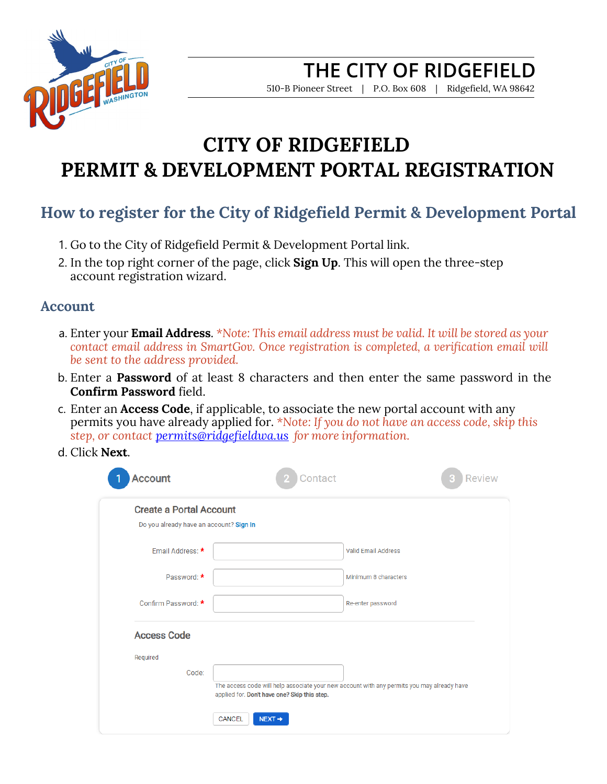

510-B Pioneer Street | P.O. Box 608 | Ridgefield, WA 98642

# **CITY OF RIDGEFIELD PERMIT & DEVELOPMENT PORTAL REGISTRATION**

## **How to register for the City of Ridgefield Permit & Development Portal**

- 1. Go to the City of Ridgefield Permit & Development Portal link.
- 2. In the top right corner of the page, click **Sign Up**. This will open the three-step account registration wizard.

#### **Account**

- a. Enter your **Email Address**. *\*Note: This email address must be valid. It will be stored as your contact email address in SmartGov. Once registration is completed, a verification email will be sent to the address provided.*
- b. Enter a **Password** of at least 8 characters and then enter the same password in the **Confirm Password** field.
- c. Enter an **Access Code**, if applicable, to associate the new portal account with any permits you have already applied for. *\*Note: If you do not have an access code, skip this step, or contact [permits@ridgefieldwa.us](mailto:permits@ridgefieldwa.us) for more information.*
- d. Click **Next**.

| <b>Account</b>                          | Contact                                                                                                                                    | <b>Review</b> |
|-----------------------------------------|--------------------------------------------------------------------------------------------------------------------------------------------|---------------|
| <b>Create a Portal Account</b>          |                                                                                                                                            |               |
| Do you already have an account? Sign In |                                                                                                                                            |               |
| Email Address: *                        | <b>Valid Email Address</b>                                                                                                                 |               |
| Password: *                             | Minimum 8 characters                                                                                                                       |               |
| Confirm Password: *                     | Re-enter password                                                                                                                          |               |
| <b>Access Code</b>                      |                                                                                                                                            |               |
| Required                                |                                                                                                                                            |               |
| Code:                                   |                                                                                                                                            |               |
|                                         | The access code will help associate your new account with any permits you may already have<br>applied for. Don't have one? Skip this step. |               |
|                                         | CANCEL<br>$NEXT \rightarrow$                                                                                                               |               |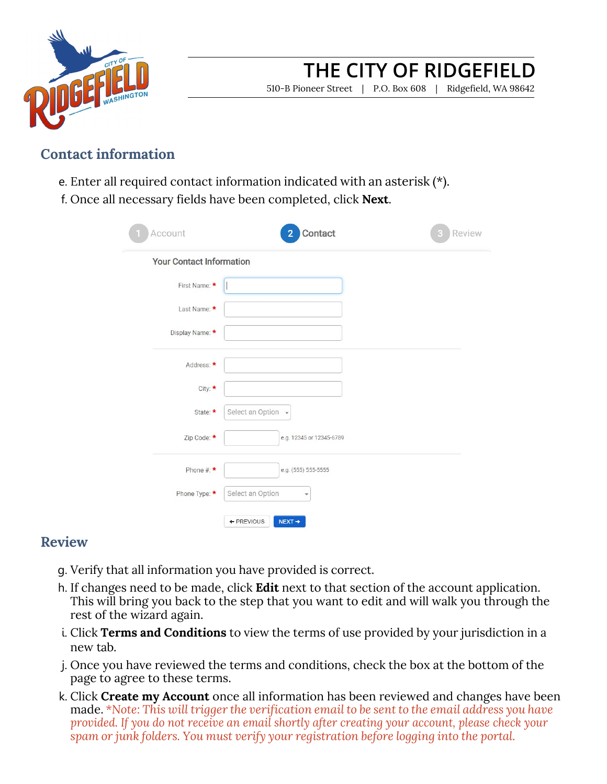

510-B Pioneer Street | P.O. Box 608 | Ridgefield, WA 98642

#### **Contact information**

- e. Enter all required contact information indicated with an asterisk (\*).
- f. Once all necessary fields have been completed, click **Next**.

| Account                         | Contact<br>2                     | <b>Review</b> |
|---------------------------------|----------------------------------|---------------|
| <b>Your Contact Information</b> |                                  |               |
| First Name: *                   |                                  |               |
| Last Name: *                    |                                  |               |
| Display Name: *                 |                                  |               |
| Address: *                      |                                  |               |
| City: *                         |                                  |               |
| State: *                        | Select an Option -               |               |
| Zip Code: *                     | e.g. 12345 or 12345-6789         |               |
| Phone #: $\star$                | e.g. (555) 555-5555              |               |
| Phone Type: *                   | Select an Option<br>÷            |               |
|                                 | + PREVIOUS<br>$NEXT \rightarrow$ |               |

#### **Review**

- g. Verify that all information you have provided is correct.
- h. If changes need to be made, click **Edit** next to that section of the account application. This will bring you back to the step that you want to edit and will walk you through the rest of the wizard again.
- i. Click **Terms and Conditions** to view the terms of use provided by your jurisdiction in a new tab.
- j. Once you have reviewed the terms and conditions, check the box at the bottom of the page to agree to these terms.
- k. Click **Create my Account** once all information has been reviewed and changes have been made. *\*Note: This will trigger the verification email to be sent to the email address you have provided. If you do not receive an email shortly after creating your account, please check your spam or junk folders. You must verify your registration before logging into the portal.*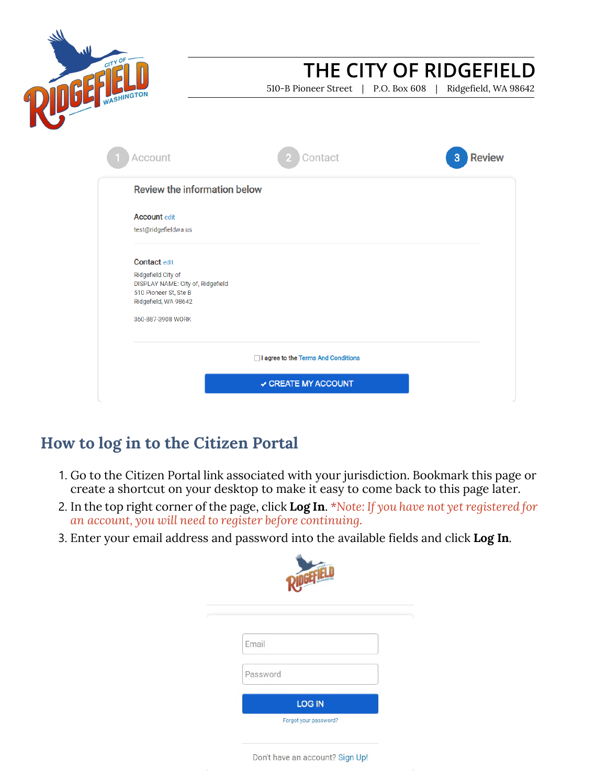

510-B Pioneer Street | P.O. Box 608 | Ridgefield, WA 98642

| Review the information below                               |                                       |  |
|------------------------------------------------------------|---------------------------------------|--|
| <b>Account edit</b>                                        |                                       |  |
| test@ridgefieldwa.us                                       |                                       |  |
| <b>Contact edit</b>                                        |                                       |  |
| Ridgefield City of                                         |                                       |  |
| DISPLAY NAME: City of, Ridgefield<br>510 Pioneer St, Ste B |                                       |  |
| Ridgefield, WA 98642                                       |                                       |  |
| 360-887-3908 WORK                                          |                                       |  |
|                                                            |                                       |  |
|                                                            | □ I agree to the Terms And Conditions |  |

## **How to log in to the Citizen Portal**

- 1. Go to the Citizen Portal link associated with your jurisdiction. Bookmark this page or create a shortcut on your desktop to make it easy to come back to this page later.
- 2. In the top right corner of the page, click **Log In**. *\*Note: If you have not yet registered for an account, you will need to register before continuing.*
- 3. Enter your email address and password into the available fields and click **Log In**.

| Email    |  |
|----------|--|
| Password |  |

Don't have an account? Sign Up!